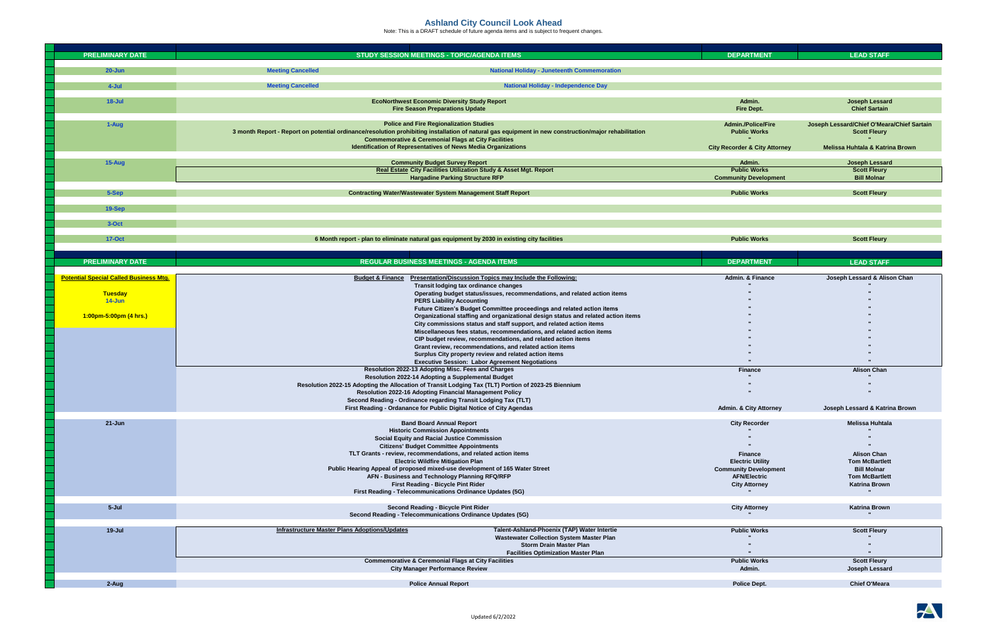## **Ashland City Council Look Ahead**

Note: This is a DRAFT schedule of future agenda items and is subject to frequent changes.

|                                  | <b>PRELIMINARY DATE</b>                       | <b>STUDY SESSION MEETINGS - TOPIC/AGENDA ITEMS</b>                                                                                                                                                                                                                                                                                                                                                                                                | <b>DEPARTMENT</b>                                       | <b>LEAD STAFF</b>                                                                                               |
|----------------------------------|-----------------------------------------------|---------------------------------------------------------------------------------------------------------------------------------------------------------------------------------------------------------------------------------------------------------------------------------------------------------------------------------------------------------------------------------------------------------------------------------------------------|---------------------------------------------------------|-----------------------------------------------------------------------------------------------------------------|
|                                  | $20 - Jun$                                    | <b>Meeting Cancelled</b><br><b>National Holiday - Juneteenth Commemoration</b>                                                                                                                                                                                                                                                                                                                                                                    |                                                         |                                                                                                                 |
|                                  | $4-Jul$                                       | <b>Meeting Cancelled</b><br><b>National Holiday - Independence Day</b>                                                                                                                                                                                                                                                                                                                                                                            |                                                         |                                                                                                                 |
| $18 -$ Jul<br>1-Aug              |                                               |                                                                                                                                                                                                                                                                                                                                                                                                                                                   | Admin.                                                  |                                                                                                                 |
|                                  |                                               | <b>EcoNorthwest Economic Diversity Study Report</b><br><b>Fire Season Preparations Update</b><br><b>Police and Fire Regionalization Studies</b><br>3 month Report - Report on potential ordinance/resolution prohibiting installation of natural gas equipment in new construction/major rehabilitation<br><b>Commemorative &amp; Ceremonial Flags at City Facilities</b><br><b>Identification of Representatives of News Media Organizations</b> |                                                         | <b>Joseph Lessard</b><br><b>Chief Sartain</b>                                                                   |
|                                  |                                               |                                                                                                                                                                                                                                                                                                                                                                                                                                                   |                                                         | Joseph Lessard/Chief O'Meara/Chief Sartain<br><b>Scott Fleury</b><br><b>Melissa Huhtala &amp; Katrina Brown</b> |
|                                  |                                               |                                                                                                                                                                                                                                                                                                                                                                                                                                                   | <b>City Recorder &amp; City Attorney</b>                |                                                                                                                 |
| 15-Aug<br>5-Sep<br><b>19-Sep</b> |                                               | <b>Community Budget Survey Report</b><br>Real Estate City Facilities Utilization Study & Asset Mgt. Report                                                                                                                                                                                                                                                                                                                                        | Admin.<br><b>Public Works</b>                           | <b>Joseph Lessard</b><br><b>Scott Fleury</b>                                                                    |
|                                  |                                               | <b>Hargadine Parking Structure RFP</b>                                                                                                                                                                                                                                                                                                                                                                                                            | <b>Community Development</b>                            | <b>Bill Molnar</b>                                                                                              |
|                                  |                                               | <b>Contracting Water/Wastewater System Management Staff Report</b>                                                                                                                                                                                                                                                                                                                                                                                | <b>Public Works</b>                                     | <b>Scott Fleury</b>                                                                                             |
|                                  |                                               |                                                                                                                                                                                                                                                                                                                                                                                                                                                   |                                                         |                                                                                                                 |
|                                  |                                               |                                                                                                                                                                                                                                                                                                                                                                                                                                                   |                                                         |                                                                                                                 |
|                                  | $3-Oct$                                       |                                                                                                                                                                                                                                                                                                                                                                                                                                                   |                                                         |                                                                                                                 |
|                                  | <b>17-Oct</b>                                 | 6 Month report - plan to eliminate natural gas equipment by 2030 in existing city facilities                                                                                                                                                                                                                                                                                                                                                      | <b>Public Works</b>                                     | <b>Scott Fleury</b>                                                                                             |
|                                  |                                               |                                                                                                                                                                                                                                                                                                                                                                                                                                                   |                                                         |                                                                                                                 |
|                                  | <b>PRELIMINARY DATE</b>                       | <b>REGULAR BUSINESS MEETINGS - AGENDA ITEMS</b>                                                                                                                                                                                                                                                                                                                                                                                                   | <b>DEPARTMENT</b>                                       | <b>LEAD STAFF</b>                                                                                               |
|                                  | <b>Potential Special Called Business Mtg.</b> | <b>Presentation/Discussion Topics may Include the Following:</b><br><b>Budget &amp; Finance</b><br><b>Transit lodging tax ordinance changes</b>                                                                                                                                                                                                                                                                                                   | <b>Admin. &amp; Finance</b>                             | Joseph Lessard & Alison Chan                                                                                    |
|                                  | <b>Tuesday</b>                                | Operating budget status/issues, recommendations, and related action items                                                                                                                                                                                                                                                                                                                                                                         |                                                         |                                                                                                                 |
|                                  | 14-Jun                                        | <b>PERS Liability Accounting</b><br>Future Citizen's Budget Committee proceedings and related action items                                                                                                                                                                                                                                                                                                                                        |                                                         |                                                                                                                 |
|                                  | 1:00pm-5:00pm (4 hrs.)                        | Organizational staffing and organizational design status and related action items                                                                                                                                                                                                                                                                                                                                                                 |                                                         |                                                                                                                 |
|                                  |                                               | City commissions status and staff support, and related action items<br>Miscellaneous fees status, recommendations, and related action items                                                                                                                                                                                                                                                                                                       |                                                         |                                                                                                                 |
|                                  |                                               | CIP budget review, recommendations, and related action items<br>Grant review, recommendations, and related action items                                                                                                                                                                                                                                                                                                                           |                                                         |                                                                                                                 |
|                                  |                                               | Surplus City property review and related action items                                                                                                                                                                                                                                                                                                                                                                                             |                                                         |                                                                                                                 |
|                                  |                                               | <b>Executive Session: Labor Agreement Negotiations</b><br>Resolution 2022-13 Adopting Misc. Fees and Charges                                                                                                                                                                                                                                                                                                                                      | <b>Finance</b>                                          | <b>Alison Chan</b>                                                                                              |
|                                  |                                               | <b>Resolution 2022-14 Adopting a Supplemental Budget</b>                                                                                                                                                                                                                                                                                                                                                                                          |                                                         |                                                                                                                 |
|                                  |                                               | Resolution 2022-15 Adopting the Allocation of Transit Lodging Tax (TLT) Portion of 2023-25 Biennium<br><b>Resolution 2022-16 Adopting Financial Management Policy</b>                                                                                                                                                                                                                                                                             |                                                         |                                                                                                                 |
|                                  |                                               | Second Reading - Ordinance regarding Transit Lodging Tax (TLT)<br>First Reading - Ordanance for Public Digital Notice of City Agendas                                                                                                                                                                                                                                                                                                             | <b>Admin. &amp; City Attorney</b>                       | Joseph Lessard & Katrina Brown                                                                                  |
|                                  |                                               |                                                                                                                                                                                                                                                                                                                                                                                                                                                   |                                                         |                                                                                                                 |
| $21 - Jun$                       |                                               | <b>Band Board Annual Report</b><br><b>Historic Commission Appointments</b>                                                                                                                                                                                                                                                                                                                                                                        | <b>City Recorder</b>                                    | <b>Melissa Huhtala</b>                                                                                          |
|                                  |                                               | <b>Social Equity and Racial Justice Commission</b><br><b>Citizens' Budget Committee Appointments</b>                                                                                                                                                                                                                                                                                                                                              |                                                         |                                                                                                                 |
|                                  |                                               | TLT Grants - review, recommendations, and related action items                                                                                                                                                                                                                                                                                                                                                                                    | <b>Finance</b>                                          | <b>Alison Chan</b>                                                                                              |
|                                  |                                               | <b>Electric Wildfire Mitigation Plan</b><br>Public Hearing Appeal of proposed mixed-use development of 165 Water Street                                                                                                                                                                                                                                                                                                                           | <b>Electric Utility</b><br><b>Community Development</b> | <b>Tom McBartlett</b><br><b>Bill Molnar</b>                                                                     |
|                                  |                                               | AFN - Business and Technology Planning RFQ/RFP                                                                                                                                                                                                                                                                                                                                                                                                    | <b>AFN/Electric</b>                                     | <b>Tom McBartlett</b>                                                                                           |
|                                  |                                               | <b>First Reading - Bicycle Pint Rider</b><br>First Reading - Telecommunications Ordinance Updates (5G)                                                                                                                                                                                                                                                                                                                                            | <b>City Attorney</b>                                    | <b>Katrina Brown</b>                                                                                            |
|                                  | 5-Jul                                         | <b>Second Reading - Bicycle Pint Rider</b>                                                                                                                                                                                                                                                                                                                                                                                                        | <b>City Attorney</b>                                    | <b>Katrina Brown</b>                                                                                            |
|                                  |                                               | <b>Second Reading - Telecommunications Ordinance Updates (5G)</b>                                                                                                                                                                                                                                                                                                                                                                                 |                                                         |                                                                                                                 |
|                                  | 19-Jul                                        | <b>Infrastructure Master Plans Adoptions/Updates</b><br>Talent-Ashland-Phoenix (TAP) Water Intertie                                                                                                                                                                                                                                                                                                                                               | <b>Public Works</b>                                     | <b>Scott Fleury</b>                                                                                             |
|                                  |                                               | <b>Wastewater Collection System Master Plan</b><br><b>Storm Drain Master Plan</b>                                                                                                                                                                                                                                                                                                                                                                 |                                                         |                                                                                                                 |
|                                  |                                               | <b>Facilities Optimization Master Plan</b>                                                                                                                                                                                                                                                                                                                                                                                                        |                                                         |                                                                                                                 |
|                                  |                                               | <b>Commemorative &amp; Ceremonial Flags at City Facilities</b><br><b>City Manager Performance Review</b>                                                                                                                                                                                                                                                                                                                                          | <b>Public Works</b><br>Admin.                           | <b>Scott Fleury</b><br><b>Joseph Lessard</b>                                                                    |
|                                  | 2-Aug                                         | <b>Police Annual Report</b>                                                                                                                                                                                                                                                                                                                                                                                                                       | <b>Police Dept.</b>                                     | <b>Chief O'Meara</b>                                                                                            |
|                                  |                                               |                                                                                                                                                                                                                                                                                                                                                                                                                                                   |                                                         |                                                                                                                 |